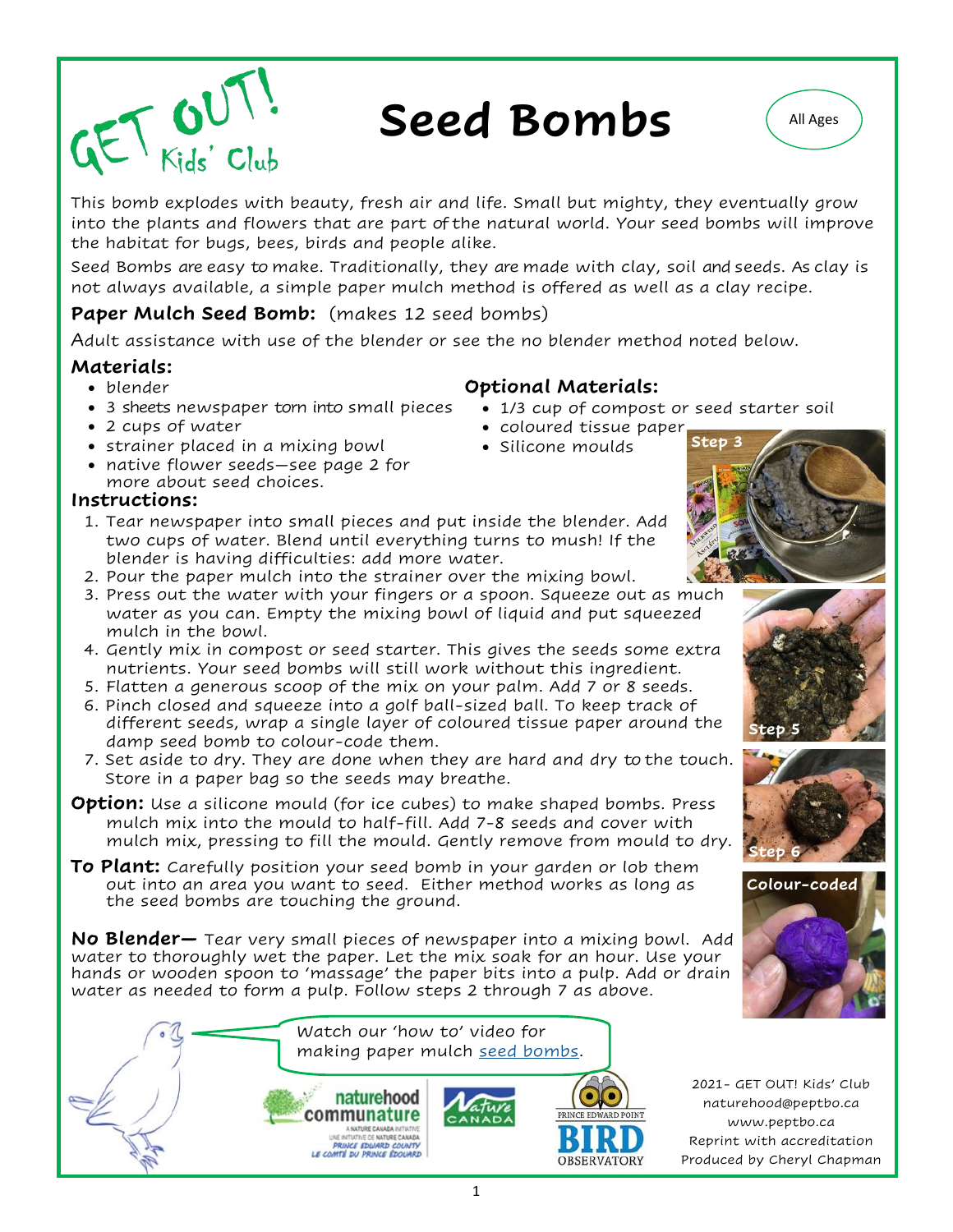

# Seed Bombs (All Ages



This bomb explodes with beauty, fresh air and life. Small but mighty, they eventually grow into the plants and flowers that are part of the natural world. Your seed bombs will improve the habitat for bugs, bees, birds and people alike.

Seed Bombs are easy to make. Traditionally, they are made with clay, soil and seeds. As clay is not always available, a simple paper mulch method is offered as well as a clay recipe.

#### **Paper Mulch Seed Bomb:** (makes 12 seed bombs)

Adult assistance with use of the blender or see the no blender method noted below.

#### **Materials:**

- blender
- 3 sheets newspaper torn into small pieces
- 2 cups of water
- strainer placed in a mixing bowl
- native flower seeds—see page 2 for more about seed choices.

#### **Instructions:**

- 1. Tear newspaper into small pieces and put inside the blender. Add two cups of water. Blend until everything turns to mush! If the blender is having difficulties: add more water.
- **Step 3** • coloured tissue paper







Watch our 'how to' video for making paper mulch [seed bombs.](https://youtu.be/uemMNzCdgws) naturehood communature ANATURE CANADA INTINTIVE<br>UNE INTINTIVE DE NATURE CANADA<br>PRINCE EDWARD COUNTY<br>LE COMTÉ DU PRINCE ÉDOUARD **OBSERVATORY** 

2021- GET OUT! Kids' Club naturehood@peptbo.ca www.peptbo.ca Reprint with accreditation Produced by Cheryl Chapman

**Optional Materials:** 

• Silicone moulds

• 1/3 cup of compost or seed starter soil

- 2. Pour the paper mulch into the strainer over the mixing bowl. 3. Press out the water with your fingers or a spoon. Squeeze out as much
	- water as you can. Empty the mixing bowl of liquid and put squeezed mulch in the bowl.
	- 4. Gently mix in compost or seed starter. This gives the seeds some extra nutrients. Your seed bombs will still work without this ingredient.
	- 5. Flatten a generous scoop of the mix on your palm. Add 7 or 8 seeds.
	- 6. Pinch closed and squeeze into a golf ball-sized ball. To keep track of different seeds, wrap a single layer of coloured tissue paper around the damp seed bomb to colour-code them.
	- 7. Set aside to dry. They are done when they are hard and dry to the touch. Store in a paper bag so the seeds may breathe.
- **Option:** Use a silicone mould (for ice cubes) to make shaped bombs. Press mulch mix into the mould to half-fill. Add 7-8 seeds and cover with mulch mix, pressing to fill the mould. Gently remove from mould to dry.
- **To Plant:** Carefully position your seed bomb in your garden or lob them out into an area you want to seed. Either method works as long as the seed bombs are touching the ground.

**No Blender—** Tear very small pieces of newspaper into a mixing bowl. Add water to thoroughly wet the paper. Let the mix soak for an hour. Use your hands or wooden spoon to 'massage' the paper bits into a pulp. Add or drain water as needed to form a pulp. Follow steps 2 through 7 as above.

1